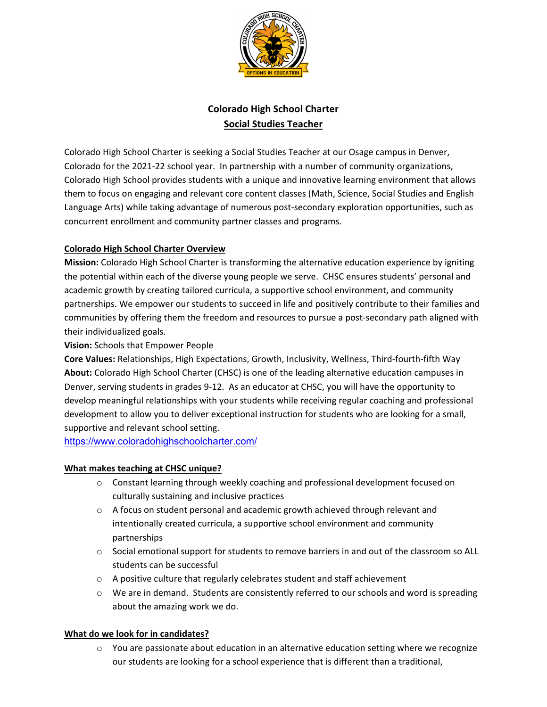

# **Colorado High School Charter Social Studies Teacher**

Colorado High School Charter is seeking a Social Studies Teacher at our Osage campus in Denver, Colorado for the 2021‐22 school year. In partnership with a number of community organizations, Colorado High School provides students with a unique and innovative learning environment that allows them to focus on engaging and relevant core content classes (Math, Science, Social Studies and English Language Arts) while taking advantage of numerous post‐secondary exploration opportunities, such as concurrent enrollment and community partner classes and programs.

## **Colorado High School Charter Overview**

**Mission:** Colorado High School Charter is transforming the alternative education experience by igniting the potential within each of the diverse young people we serve. CHSC ensures students' personal and academic growth by creating tailored curricula, a supportive school environment, and community partnerships. We empower our students to succeed in life and positively contribute to their families and communities by offering them the freedom and resources to pursue a post-secondary path aligned with their individualized goals.

### **Vision:** Schools that Empower People

**Core Values:** Relationships, High Expectations, Growth, Inclusivity, Wellness, Third‐fourth‐fifth Way **About:** Colorado High School Charter (CHSC) is one of the leading alternative education campuses in Denver, serving students in grades 9‐12. As an educator at CHSC, you will have the opportunity to develop meaningful relationships with your students while receiving regular coaching and professional development to allow you to deliver exceptional instruction for students who are looking for a small, supportive and relevant school setting.

https://www.coloradohighschoolcharter.com/

### **What makes teaching at CHSC unique?**

- $\circ$  Constant learning through weekly coaching and professional development focused on culturally sustaining and inclusive practices
- $\circ$  A focus on student personal and academic growth achieved through relevant and intentionally created curricula, a supportive school environment and community partnerships
- $\circ$  Social emotional support for students to remove barriers in and out of the classroom so ALL students can be successful
- o A positive culture that regularly celebrates student and staff achievement
- $\circ$  We are in demand. Students are consistently referred to our schools and word is spreading about the amazing work we do.

#### **What do we look for in candidates?**

 $\circ$  You are passionate about education in an alternative education setting where we recognize our students are looking for a school experience that is different than a traditional,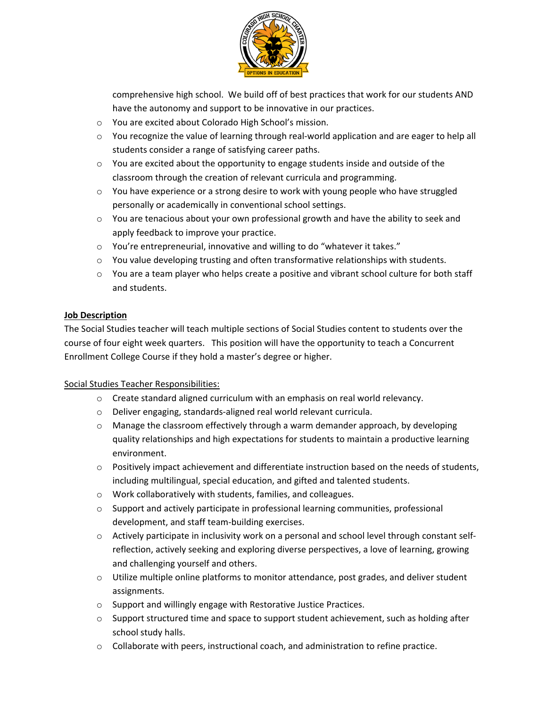

comprehensive high school. We build off of best practices that work for our students AND have the autonomy and support to be innovative in our practices.

- o You are excited about Colorado High School's mission.
- o You recognize the value of learning through real‐world application and are eager to help all students consider a range of satisfying career paths.
- $\circ$  You are excited about the opportunity to engage students inside and outside of the classroom through the creation of relevant curricula and programming.
- o You have experience or a strong desire to work with young people who have struggled personally or academically in conventional school settings.
- $\circ$  You are tenacious about your own professional growth and have the ability to seek and apply feedback to improve your practice.
- o You're entrepreneurial, innovative and willing to do "whatever it takes."
- $\circ$  You value developing trusting and often transformative relationships with students.
- o You are a team player who helps create a positive and vibrant school culture for both staff and students.

### **Job Description**

The Social Studies teacher will teach multiple sections of Social Studies content to students over the course of four eight week quarters. This position will have the opportunity to teach a Concurrent Enrollment College Course if they hold a master's degree or higher.

### Social Studies Teacher Responsibilities:

- o Create standard aligned curriculum with an emphasis on real world relevancy.
- o Deliver engaging, standards‐aligned real world relevant curricula.
- $\circ$  Manage the classroom effectively through a warm demander approach, by developing quality relationships and high expectations for students to maintain a productive learning environment.
- o Positively impact achievement and differentiate instruction based on the needs of students, including multilingual, special education, and gifted and talented students.
- o Work collaboratively with students, families, and colleagues.
- $\circ$  Support and actively participate in professional learning communities, professional development, and staff team‐building exercises.
- o Actively participate in inclusivity work on a personal and school level through constant self‐ reflection, actively seeking and exploring diverse perspectives, a love of learning, growing and challenging yourself and others.
- $\circ$  Utilize multiple online platforms to monitor attendance, post grades, and deliver student assignments.
- o Support and willingly engage with Restorative Justice Practices.
- $\circ$  Support structured time and space to support student achievement, such as holding after school study halls.
- o Collaborate with peers, instructional coach, and administration to refine practice.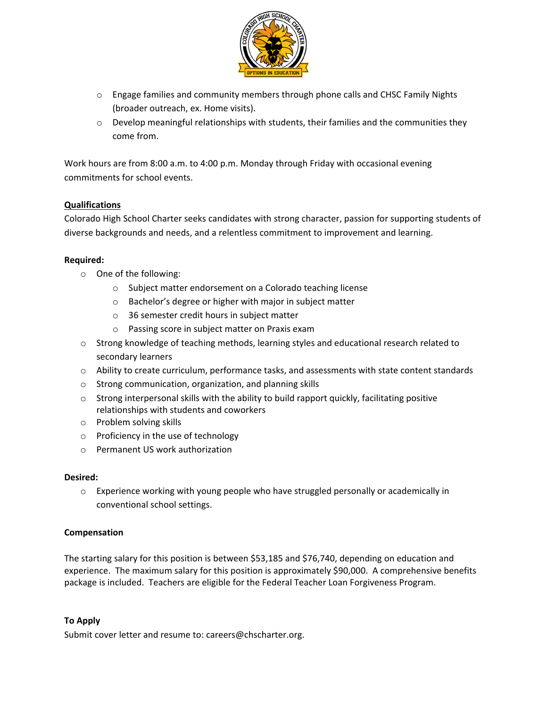

- o Engage families and community members through phone calls and CHSC Family Nights (broader outreach, ex. Home visits).
- $\circ$  Develop meaningful relationships with students, their families and the communities they come from.

Work hours are from 8:00 a.m. to 4:00 p.m. Monday through Friday with occasional evening commitments for school events.

### **Qualifications**

Colorado High School Charter seeks candidates with strong character, passion for supporting students of diverse backgrounds and needs, and a relentless commitment to improvement and learning.

### **Required:**

- o One of the following:
	- o Subject matter endorsement on a Colorado teaching license
	- o Bachelor's degree or higher with major in subject matter
	- o 36 semester credit hours in subject matter
	- o Passing score in subject matter on Praxis exam
- o Strong knowledge of teaching methods, learning styles and educational research related to secondary learners
- o Ability to create curriculum, performance tasks, and assessments with state content standards
- o Strong communication, organization, and planning skills
- $\circ$  Strong interpersonal skills with the ability to build rapport quickly, facilitating positive relationships with students and coworkers
- o Problem solving skills
- o Proficiency in the use of technology
- o Permanent US work authorization

### **Desired:**

 $\circ$  Experience working with young people who have struggled personally or academically in conventional school settings.

### **Compensation**

The starting salary for this position is between \$53,185 and \$76,740, depending on education and experience. The maximum salary for this position is approximately \$90,000. A comprehensive benefits package is included. Teachers are eligible for the Federal Teacher Loan Forgiveness Program.

### **To Apply**

Submit cover letter and resume to: careers@chscharter.org.